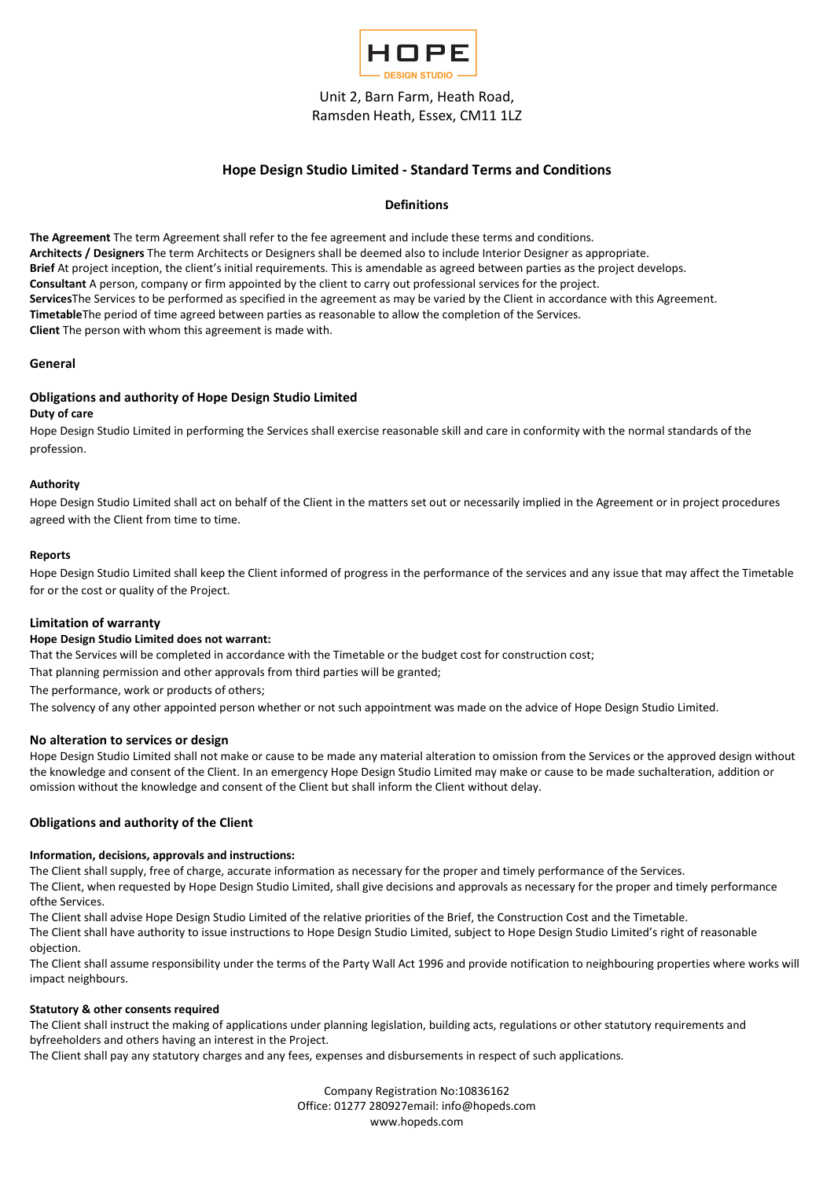

# Hope Design Studio Limited - Standard Terms and Conditions

## Definitions

The Agreement The term Agreement shall refer to the fee agreement and include these terms and conditions. Architects / Designers The term Architects or Designers shall be deemed also to include Interior Designer as appropriate. Brief At project inception, the client's initial requirements. This is amendable as agreed between parties as the project develops. Consultant A person, company or firm appointed by the client to carry out professional services for the project. ServicesThe Services to be performed as specified in the agreement as may be varied by the Client in accordance with this Agreement. TimetableThe period of time agreed between parties as reasonable to allow the completion of the Services. Client The person with whom this agreement is made with.

### General

## Obligations and authority of Hope Design Studio Limited

#### Duty of care

Hope Design Studio Limited in performing the Services shall exercise reasonable skill and care in conformity with the normal standards of the profession.

### Authority

Hope Design Studio Limited shall act on behalf of the Client in the matters set out or necessarily implied in the Agreement or in project procedures agreed with the Client from time to time.

### Reports

Hope Design Studio Limited shall keep the Client informed of progress in the performance of the services and any issue that may affect the Timetable for or the cost or quality of the Project.

## Limitation of warranty

## Hope Design Studio Limited does not warrant:

That the Services will be completed in accordance with the Timetable or the budget cost for construction cost;

That planning permission and other approvals from third parties will be granted;

The performance, work or products of others;

The solvency of any other appointed person whether or not such appointment was made on the advice of Hope Design Studio Limited.

## No alteration to services or design

Hope Design Studio Limited shall not make or cause to be made any material alteration to omission from the Services or the approved design without the knowledge and consent of the Client. In an emergency Hope Design Studio Limited may make or cause to be made suchalteration, addition or omission without the knowledge and consent of the Client but shall inform the Client without delay.

## Obligations and authority of the Client

#### Information, decisions, approvals and instructions:

The Client shall supply, free of charge, accurate information as necessary for the proper and timely performance of the Services.

The Client, when requested by Hope Design Studio Limited, shall give decisions and approvals as necessary for the proper and timely performance ofthe Services.

The Client shall advise Hope Design Studio Limited of the relative priorities of the Brief, the Construction Cost and the Timetable.

The Client shall have authority to issue instructions to Hope Design Studio Limited, subject to Hope Design Studio Limited's right of reasonable objection.

The Client shall assume responsibility under the terms of the Party Wall Act 1996 and provide notification to neighbouring properties where works will impact neighbours.

#### Statutory & other consents required

The Client shall instruct the making of applications under planning legislation, building acts, regulations or other statutory requirements and byfreeholders and others having an interest in the Project.

The Client shall pay any statutory charges and any fees, expenses and disbursements in respect of such applications.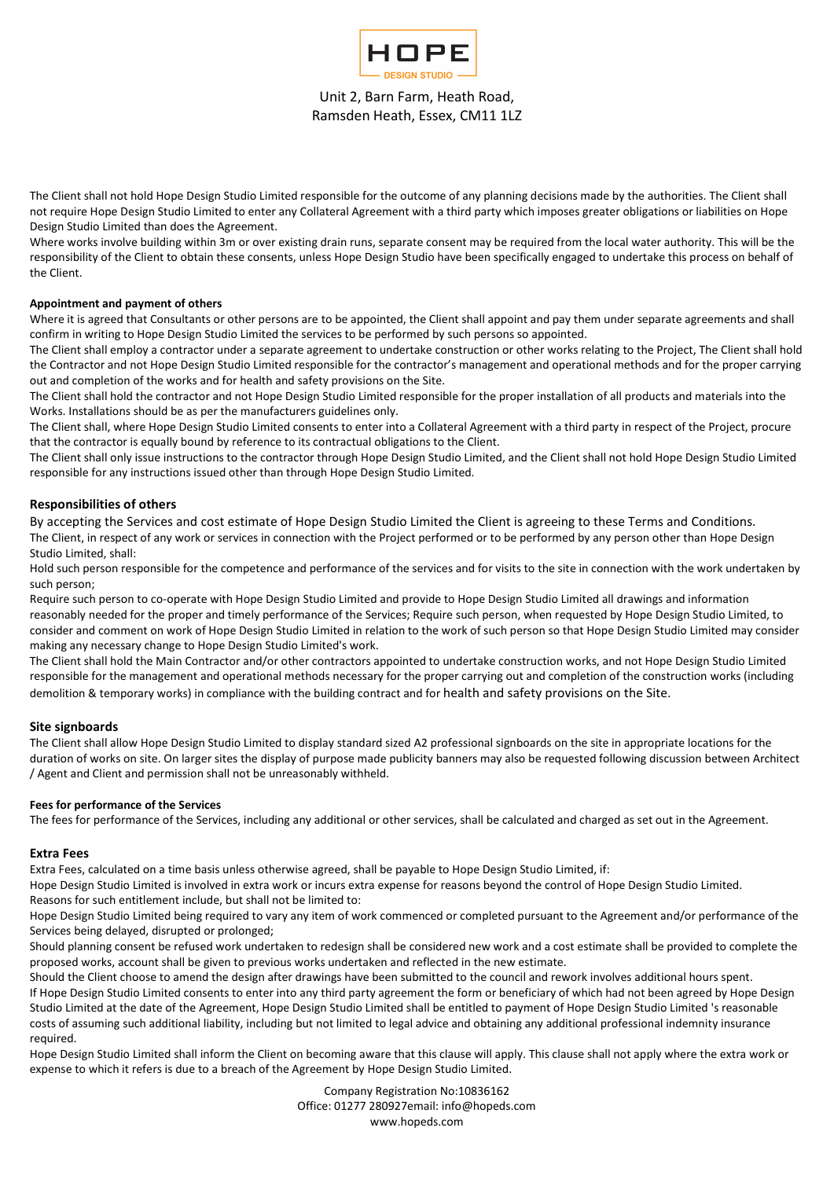

The Client shall not hold Hope Design Studio Limited responsible for the outcome of any planning decisions made by the authorities. The Client shall not require Hope Design Studio Limited to enter any Collateral Agreement with a third party which imposes greater obligations or liabilities on Hope Design Studio Limited than does the Agreement.

Where works involve building within 3m or over existing drain runs, separate consent may be required from the local water authority. This will be the responsibility of the Client to obtain these consents, unless Hope Design Studio have been specifically engaged to undertake this process on behalf of the Client.

## Appointment and payment of others

Where it is agreed that Consultants or other persons are to be appointed, the Client shall appoint and pay them under separate agreements and shall confirm in writing to Hope Design Studio Limited the services to be performed by such persons so appointed.

The Client shall employ a contractor under a separate agreement to undertake construction or other works relating to the Project, The Client shall hold the Contractor and not Hope Design Studio Limited responsible for the contractor's management and operational methods and for the proper carrying out and completion of the works and for health and safety provisions on the Site.

The Client shall hold the contractor and not Hope Design Studio Limited responsible for the proper installation of all products and materials into the Works. Installations should be as per the manufacturers guidelines only.

The Client shall, where Hope Design Studio Limited consents to enter into a Collateral Agreement with a third party in respect of the Project, procure that the contractor is equally bound by reference to its contractual obligations to the Client.

The Client shall only issue instructions to the contractor through Hope Design Studio Limited, and the Client shall not hold Hope Design Studio Limited responsible for any instructions issued other than through Hope Design Studio Limited.

## Responsibilities of others

By accepting the Services and cost estimate of Hope Design Studio Limited the Client is agreeing to these Terms and Conditions. The Client, in respect of any work or services in connection with the Project performed or to be performed by any person other than Hope Design Studio Limited, shall:

Hold such person responsible for the competence and performance of the services and for visits to the site in connection with the work undertaken by such person;

Require such person to co-operate with Hope Design Studio Limited and provide to Hope Design Studio Limited all drawings and information reasonably needed for the proper and timely performance of the Services; Require such person, when requested by Hope Design Studio Limited, to consider and comment on work of Hope Design Studio Limited in relation to the work of such person so that Hope Design Studio Limited may consider making any necessary change to Hope Design Studio Limited's work.

The Client shall hold the Main Contractor and/or other contractors appointed to undertake construction works, and not Hope Design Studio Limited responsible for the management and operational methods necessary for the proper carrying out and completion of the construction works (including demolition & temporary works) in compliance with the building contract and for health and safety provisions on the Site.

## Site signboards

The Client shall allow Hope Design Studio Limited to display standard sized A2 professional signboards on the site in appropriate locations for the duration of works on site. On larger sites the display of purpose made publicity banners may also be requested following discussion between Architect / Agent and Client and permission shall not be unreasonably withheld.

## Fees for performance of the Services

The fees for performance of the Services, including any additional or other services, shall be calculated and charged as set out in the Agreement.

## Extra Fees

Extra Fees, calculated on a time basis unless otherwise agreed, shall be payable to Hope Design Studio Limited, if:

Hope Design Studio Limited is involved in extra work or incurs extra expense for reasons beyond the control of Hope Design Studio Limited. Reasons for such entitlement include, but shall not be limited to:

Hope Design Studio Limited being required to vary any item of work commenced or completed pursuant to the Agreement and/or performance of the Services being delayed, disrupted or prolonged;

Should planning consent be refused work undertaken to redesign shall be considered new work and a cost estimate shall be provided to complete the proposed works, account shall be given to previous works undertaken and reflected in the new estimate.

Should the Client choose to amend the design after drawings have been submitted to the council and rework involves additional hours spent. If Hope Design Studio Limited consents to enter into any third party agreement the form or beneficiary of which had not been agreed by Hope Design Studio Limited at the date of the Agreement, Hope Design Studio Limited shall be entitled to payment of Hope Design Studio Limited 's reasonable costs of assuming such additional liability, including but not limited to legal advice and obtaining any additional professional indemnity insurance required.

Hope Design Studio Limited shall inform the Client on becoming aware that this clause will apply. This clause shall not apply where the extra work or expense to which it refers is due to a breach of the Agreement by Hope Design Studio Limited.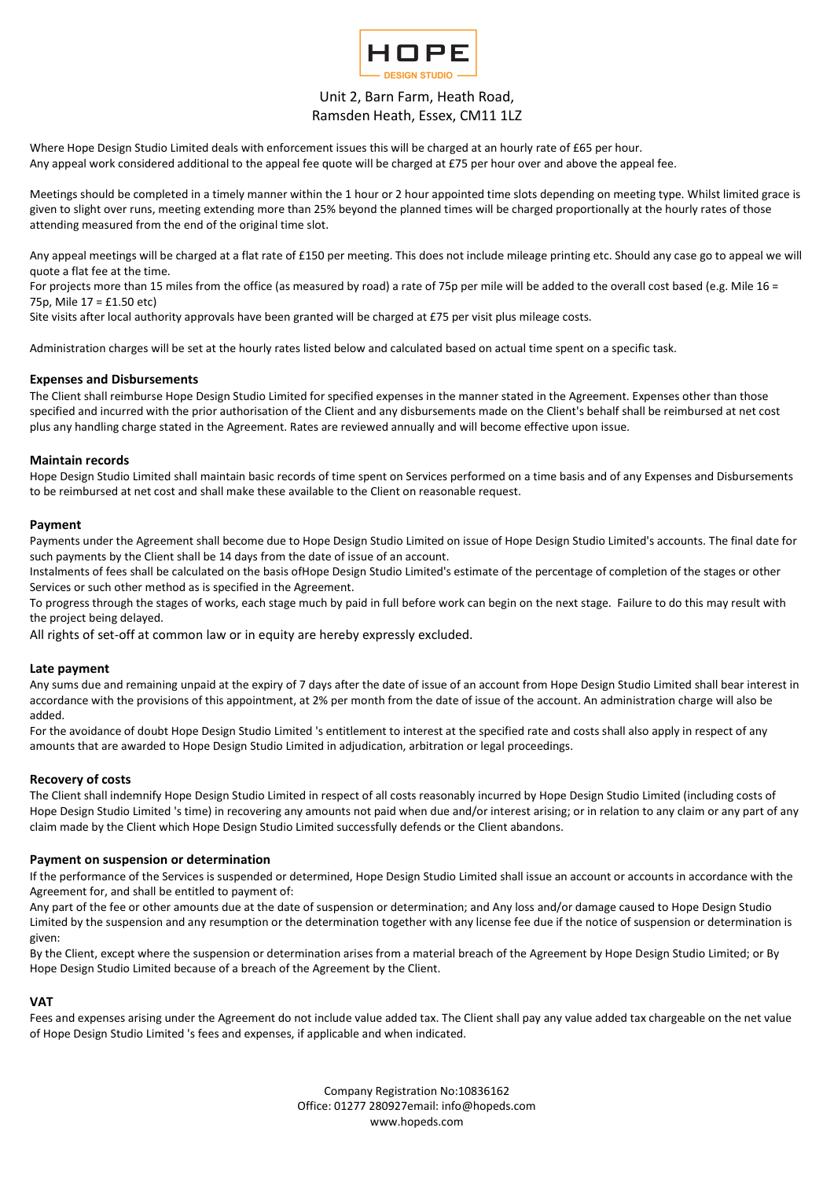

Where Hope Design Studio Limited deals with enforcement issues this will be charged at an hourly rate of £65 per hour. Any appeal work considered additional to the appeal fee quote will be charged at £75 per hour over and above the appeal fee.

Meetings should be completed in a timely manner within the 1 hour or 2 hour appointed time slots depending on meeting type. Whilst limited grace is given to slight over runs, meeting extending more than 25% beyond the planned times will be charged proportionally at the hourly rates of those attending measured from the end of the original time slot.

Any appeal meetings will be charged at a flat rate of £150 per meeting. This does not include mileage printing etc. Should any case go to appeal we will quote a flat fee at the time.

For projects more than 15 miles from the office (as measured by road) a rate of 75p per mile will be added to the overall cost based (e.g. Mile 16 = 75p, Mile 17 = £1.50 etc)

Site visits after local authority approvals have been granted will be charged at £75 per visit plus mileage costs.

Administration charges will be set at the hourly rates listed below and calculated based on actual time spent on a specific task.

## Expenses and Disbursements

The Client shall reimburse Hope Design Studio Limited for specified expenses in the manner stated in the Agreement. Expenses other than those specified and incurred with the prior authorisation of the Client and any disbursements made on the Client's behalf shall be reimbursed at net cost plus any handling charge stated in the Agreement. Rates are reviewed annually and will become effective upon issue.

### Maintain records

Hope Design Studio Limited shall maintain basic records of time spent on Services performed on a time basis and of any Expenses and Disbursements to be reimbursed at net cost and shall make these available to the Client on reasonable request.

#### Payment

Payments under the Agreement shall become due to Hope Design Studio Limited on issue of Hope Design Studio Limited's accounts. The final date for such payments by the Client shall be 14 days from the date of issue of an account.

Instalments of fees shall be calculated on the basis ofHope Design Studio Limited's estimate of the percentage of completion of the stages or other Services or such other method as is specified in the Agreement.

To progress through the stages of works, each stage much by paid in full before work can begin on the next stage. Failure to do this may result with the project being delayed.

All rights of set-off at common law or in equity are hereby expressly excluded.

#### Late payment

Any sums due and remaining unpaid at the expiry of 7 days after the date of issue of an account from Hope Design Studio Limited shall bear interest in accordance with the provisions of this appointment, at 2% per month from the date of issue of the account. An administration charge will also be added.

For the avoidance of doubt Hope Design Studio Limited 's entitlement to interest at the specified rate and costs shall also apply in respect of any amounts that are awarded to Hope Design Studio Limited in adjudication, arbitration or legal proceedings.

#### Recovery of costs

The Client shall indemnify Hope Design Studio Limited in respect of all costs reasonably incurred by Hope Design Studio Limited (including costs of Hope Design Studio Limited 's time) in recovering any amounts not paid when due and/or interest arising; or in relation to any claim or any part of any claim made by the Client which Hope Design Studio Limited successfully defends or the Client abandons.

#### Payment on suspension or determination

If the performance of the Services is suspended or determined, Hope Design Studio Limited shall issue an account or accounts in accordance with the Agreement for, and shall be entitled to payment of:

Any part of the fee or other amounts due at the date of suspension or determination; and Any loss and/or damage caused to Hope Design Studio Limited by the suspension and any resumption or the determination together with any license fee due if the notice of suspension or determination is given:

By the Client, except where the suspension or determination arises from a material breach of the Agreement by Hope Design Studio Limited; or By Hope Design Studio Limited because of a breach of the Agreement by the Client.

## **VAT**

Fees and expenses arising under the Agreement do not include value added tax. The Client shall pay any value added tax chargeable on the net value of Hope Design Studio Limited 's fees and expenses, if applicable and when indicated.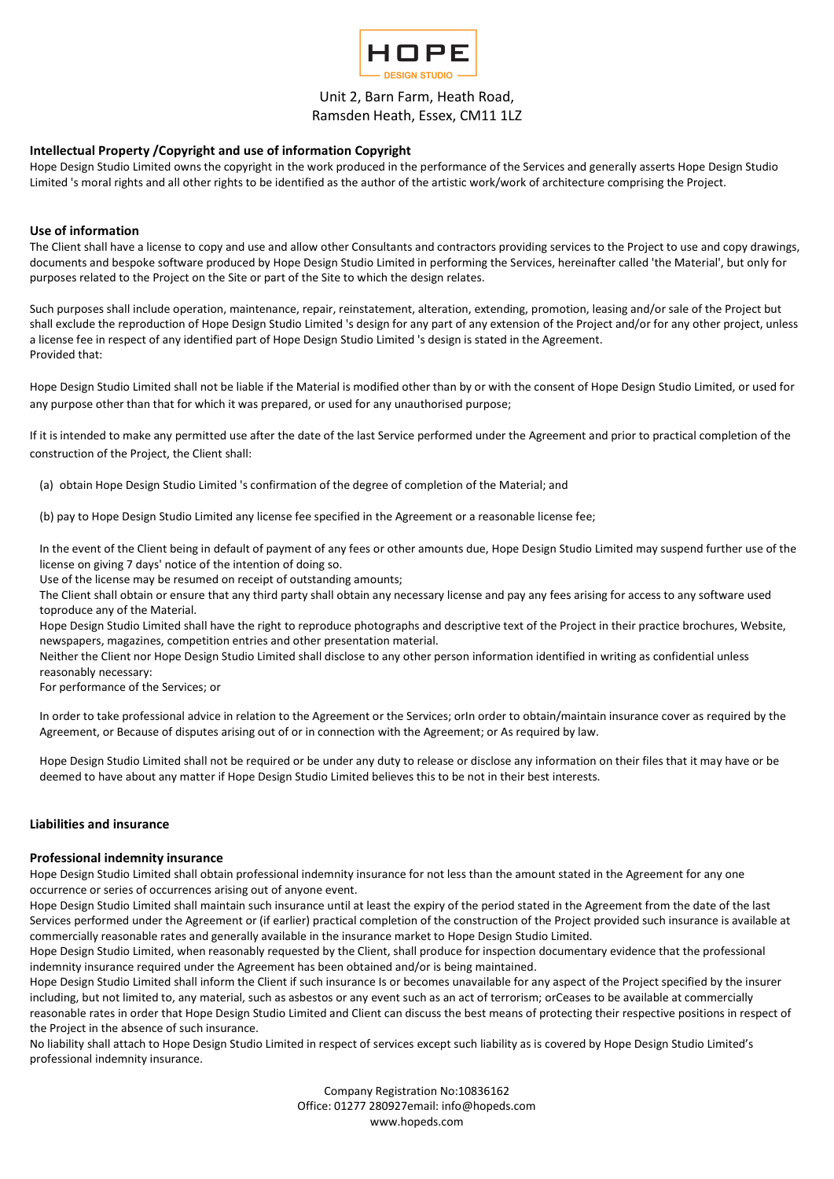

## Intellectual Property /Copyright and use of information Copyright

Hope Design Studio Limited owns the copyright in the work produced in the performance of the Services and generally asserts Hope Design Studio Limited 's moral rights and all other rights to be identified as the author of the artistic work/work of architecture comprising the Project.

## Use of information

The Client shall have a license to copy and use and allow other Consultants and contractors providing services to the Project to use and copy drawings, documents and bespoke software produced by Hope Design Studio Limited in performing the Services, hereinafter called 'the Material', but only for purposes related to the Project on the Site or part of the Site to which the design relates.

Such purposes shall include operation, maintenance, repair, reinstatement, alteration, extending, promotion, leasing and/or sale of the Project but shall exclude the reproduction of Hope Design Studio Limited 's design for any part of any extension of the Project and/or for any other project, unless a license fee in respect of any identified part of Hope Design Studio Limited 's design is stated in the Agreement. Provided that:

Hope Design Studio Limited shall not be liable if the Material is modified other than by or with the consent of Hope Design Studio Limited, or used for any purpose other than that for which it was prepared, or used for any unauthorised purpose;

If it is intended to make any permitted use after the date of the last Service performed under the Agreement and prior to practical completion of the construction of the Project, the Client shall:

(a) obtain Hope Design Studio Limited 's confirmation of the degree of completion of the Material; and

(b) pay to Hope Design Studio Limited any license fee specified in the Agreement or a reasonable license fee;

In the event of the Client being in default of payment of any fees or other amounts due, Hope Design Studio Limited may suspend further use of the license on giving 7 days' notice of the intention of doing so.

Use of the license may be resumed on receipt of outstanding amounts;

The Client shall obtain or ensure that any third party shall obtain any necessary license and pay any fees arising for access to any software used toproduce any of the Material.

Hope Design Studio Limited shall have the right to reproduce photographs and descriptive text of the Project in their practice brochures, Website, newspapers, magazines, competition entries and other presentation material.

Neither the Client nor Hope Design Studio Limited shall disclose to any other person information identified in writing as confidential unless reasonably necessary:

For performance of the Services; or

In order to take professional advice in relation to the Agreement or the Services; orIn order to obtain/maintain insurance cover as required by the Agreement, or Because of disputes arising out of or in connection with the Agreement; or As required by law.

Hope Design Studio Limited shall not be required or be under any duty to release or disclose any information on their files that it may have or be deemed to have about any matter if Hope Design Studio Limited believes this to be not in their best interests.

## Liabilities and insurance

## Professional indemnity insurance

Hope Design Studio Limited shall obtain professional indemnity insurance for not less than the amount stated in the Agreement for any one occurrence or series of occurrences arising out of anyone event.

Hope Design Studio Limited shall maintain such insurance until at least the expiry of the period stated in the Agreement from the date of the last Services performed under the Agreement or (if earlier) practical completion of the construction of the Project provided such insurance is available at commercially reasonable rates and generally available in the insurance market to Hope Design Studio Limited.

Hope Design Studio Limited, when reasonably requested by the Client, shall produce for inspection documentary evidence that the professional indemnity insurance required under the Agreement has been obtained and/or is being maintained.

Hope Design Studio Limited shall inform the Client if such insurance Is or becomes unavailable for any aspect of the Project specified by the insurer including, but not limited to, any material, such as asbestos or any event such as an act of terrorism; orCeases to be available at commercially reasonable rates in order that Hope Design Studio Limited and Client can discuss the best means of protecting their respective positions in respect of the Project in the absence of such insurance.

No liability shall attach to Hope Design Studio Limited in respect of services except such liability as is covered by Hope Design Studio Limited's professional indemnity insurance.